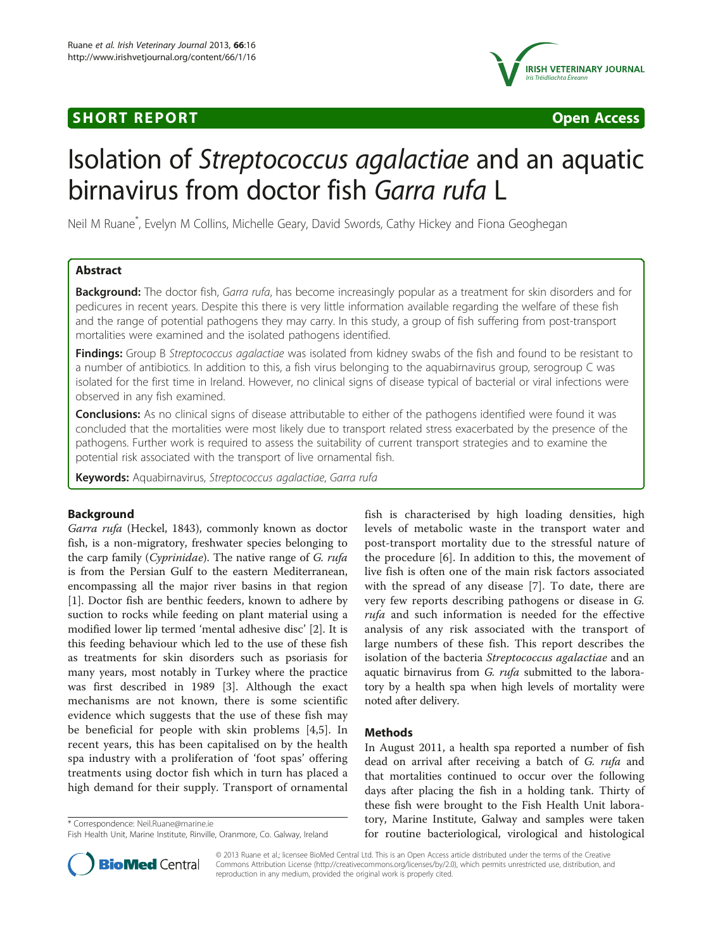## **SHORT REPORT SHORT CONSUMING ACCESS**





# Isolation of Streptococcus agalactiae and an aquatic birnavirus from doctor fish Garra rufa L

Neil M Ruane\* , Evelyn M Collins, Michelle Geary, David Swords, Cathy Hickey and Fiona Geoghegan

## Abstract

Background: The doctor fish, Garra rufa, has become increasingly popular as a treatment for skin disorders and for pedicures in recent years. Despite this there is very little information available regarding the welfare of these fish and the range of potential pathogens they may carry. In this study, a group of fish suffering from post-transport mortalities were examined and the isolated pathogens identified.

Findings: Group B Streptococcus agalactiae was isolated from kidney swabs of the fish and found to be resistant to a number of antibiotics. In addition to this, a fish virus belonging to the aquabirnavirus group, serogroup C was isolated for the first time in Ireland. However, no clinical signs of disease typical of bacterial or viral infections were observed in any fish examined.

**Conclusions:** As no clinical signs of disease attributable to either of the pathogens identified were found it was concluded that the mortalities were most likely due to transport related stress exacerbated by the presence of the pathogens. Further work is required to assess the suitability of current transport strategies and to examine the potential risk associated with the transport of live ornamental fish.

Keywords: Aquabirnavirus, Streptococcus agalactiae, Garra rufa

## Background

Garra rufa (Heckel, 1843), commonly known as doctor fish, is a non-migratory, freshwater species belonging to the carp family (Cyprinidae). The native range of G. rufa is from the Persian Gulf to the eastern Mediterranean, encompassing all the major river basins in that region [[1\]](#page-3-0). Doctor fish are benthic feeders, known to adhere by suction to rocks while feeding on plant material using a modified lower lip termed 'mental adhesive disc' [[2](#page-3-0)]. It is this feeding behaviour which led to the use of these fish as treatments for skin disorders such as psoriasis for many years, most notably in Turkey where the practice was first described in 1989 [[3\]](#page-3-0). Although the exact mechanisms are not known, there is some scientific evidence which suggests that the use of these fish may be beneficial for people with skin problems [[4,5](#page-3-0)]. In recent years, this has been capitalised on by the health spa industry with a proliferation of 'foot spas' offering treatments using doctor fish which in turn has placed a high demand for their supply. Transport of ornamental

\* Correspondence: [Neil.Ruane@marine.ie](mailto:Neil.Ruane@marine.ie)

fish is characterised by high loading densities, high levels of metabolic waste in the transport water and post-transport mortality due to the stressful nature of the procedure [[6](#page-3-0)]. In addition to this, the movement of live fish is often one of the main risk factors associated with the spread of any disease [[7\]](#page-3-0). To date, there are very few reports describing pathogens or disease in G. rufa and such information is needed for the effective analysis of any risk associated with the transport of large numbers of these fish. This report describes the isolation of the bacteria Streptococcus agalactiae and an aquatic birnavirus from G. rufa submitted to the laboratory by a health spa when high levels of mortality were noted after delivery.

## Methods

In August 2011, a health spa reported a number of fish dead on arrival after receiving a batch of G. rufa and that mortalities continued to occur over the following days after placing the fish in a holding tank. Thirty of these fish were brought to the Fish Health Unit laboratory, Marine Institute, Galway and samples were taken for routine bacteriological, virological and histological



© 2013 Ruane et al.; licensee BioMed Central Ltd. This is an Open Access article distributed under the terms of the Creative Commons Attribution License [\(http://creativecommons.org/licenses/by/2.0\)](http://creativecommons.org/licenses/by/2.0), which permits unrestricted use, distribution, and reproduction in any medium, provided the original work is properly cited.

Fish Health Unit, Marine Institute, Rinville, Oranmore, Co. Galway, Ireland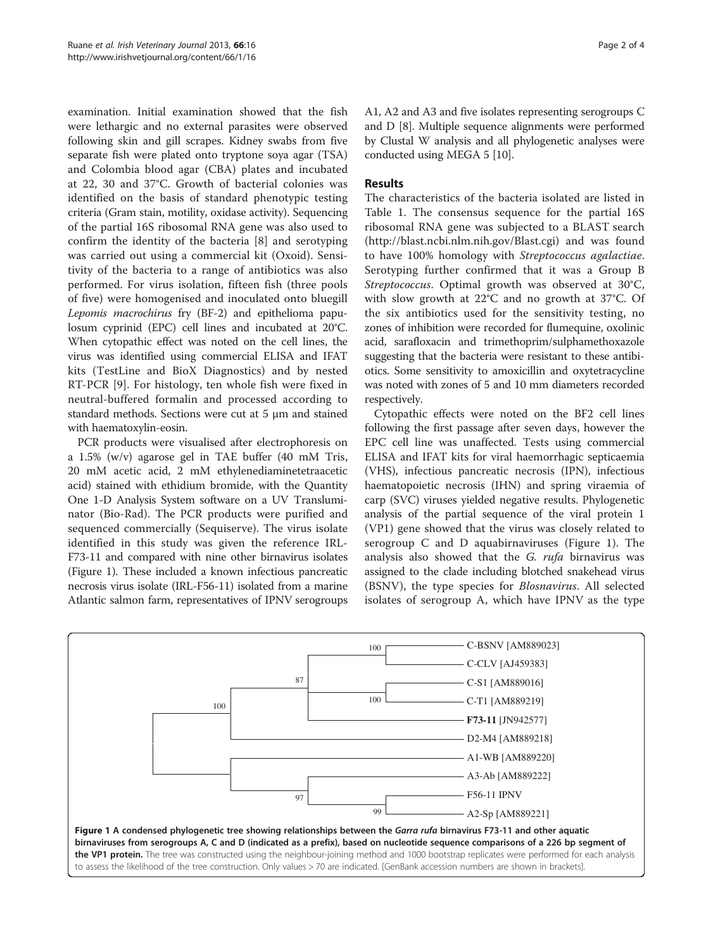examination. Initial examination showed that the fish were lethargic and no external parasites were observed following skin and gill scrapes. Kidney swabs from five separate fish were plated onto tryptone soya agar (TSA) and Colombia blood agar (CBA) plates and incubated at 22, 30 and 37°C. Growth of bacterial colonies was identified on the basis of standard phenotypic testing criteria (Gram stain, motility, oxidase activity). Sequencing of the partial 16S ribosomal RNA gene was also used to confirm the identity of the bacteria [[8\]](#page-3-0) and serotyping was carried out using a commercial kit (Oxoid). Sensitivity of the bacteria to a range of antibiotics was also performed. For virus isolation, fifteen fish (three pools of five) were homogenised and inoculated onto bluegill Lepomis macrochirus fry (BF-2) and epithelioma papulosum cyprinid (EPC) cell lines and incubated at 20°C. When cytopathic effect was noted on the cell lines, the virus was identified using commercial ELISA and IFAT kits (TestLine and BioX Diagnostics) and by nested RT-PCR [[9\]](#page-3-0). For histology, ten whole fish were fixed in neutral-buffered formalin and processed according to standard methods. Sections were cut at 5 μm and stained with haematoxylin-eosin.

PCR products were visualised after electrophoresis on a 1.5% (w/v) agarose gel in TAE buffer (40 mM Tris, 20 mM acetic acid, 2 mM ethylenediaminetetraacetic acid) stained with ethidium bromide, with the Quantity One 1-D Analysis System software on a UV Transluminator (Bio-Rad). The PCR products were purified and sequenced commercially (Sequiserve). The virus isolate identified in this study was given the reference IRL-F73-11 and compared with nine other birnavirus isolates (Figure 1). These included a known infectious pancreatic necrosis virus isolate (IRL-F56-11) isolated from a marine Atlantic salmon farm, representatives of IPNV serogroups A1, A2 and A3 and five isolates representing serogroups C and D [\[8](#page-3-0)]. Multiple sequence alignments were performed by Clustal W analysis and all phylogenetic analyses were conducted using MEGA 5 [[10](#page-3-0)].

#### **Results**

The characteristics of the bacteria isolated are listed in Table [1](#page-2-0). The consensus sequence for the partial 16S ribosomal RNA gene was subjected to a BLAST search (<http://blast.ncbi.nlm.nih.gov/Blast.cgi>) and was found to have 100% homology with Streptococcus agalactiae. Serotyping further confirmed that it was a Group B Streptococcus. Optimal growth was observed at 30°C, with slow growth at 22°C and no growth at 37°C. Of the six antibiotics used for the sensitivity testing, no zones of inhibition were recorded for flumequine, oxolinic acid, sarafloxacin and trimethoprim/sulphamethoxazole suggesting that the bacteria were resistant to these antibiotics. Some sensitivity to amoxicillin and oxytetracycline was noted with zones of 5 and 10 mm diameters recorded respectively.

Cytopathic effects were noted on the BF2 cell lines following the first passage after seven days, however the EPC cell line was unaffected. Tests using commercial ELISA and IFAT kits for viral haemorrhagic septicaemia (VHS), infectious pancreatic necrosis (IPN), infectious haematopoietic necrosis (IHN) and spring viraemia of carp (SVC) viruses yielded negative results. Phylogenetic analysis of the partial sequence of the viral protein 1 (VP1) gene showed that the virus was closely related to serogroup C and D aquabirnaviruses (Figure 1). The analysis also showed that the G. rufa birnavirus was assigned to the clade including blotched snakehead virus (BSNV), the type species for Blosnavirus. All selected isolates of serogroup A, which have IPNV as the type

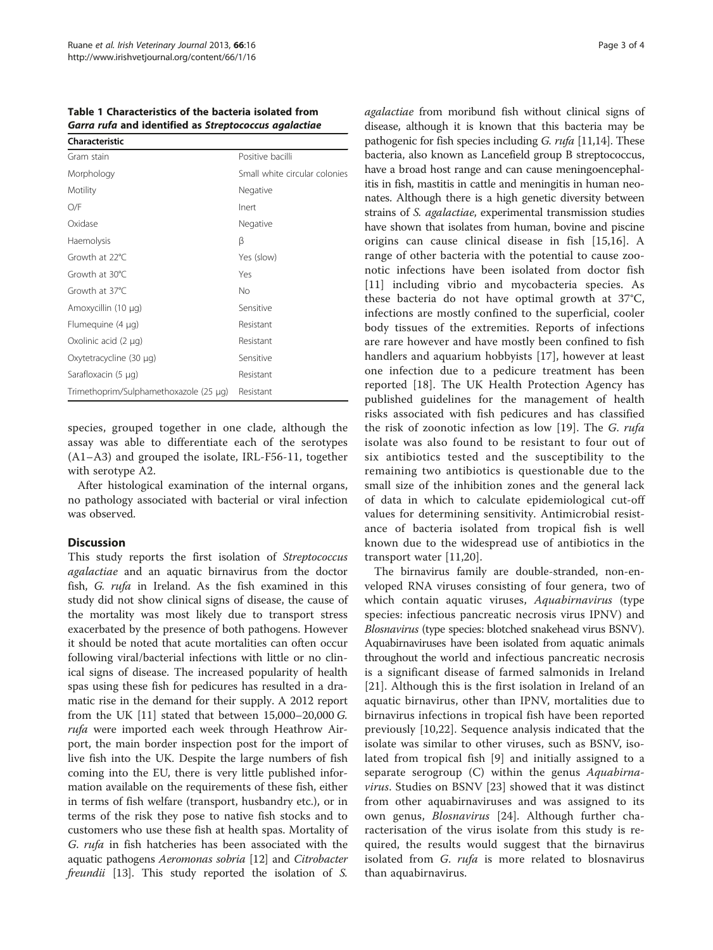<span id="page-2-0"></span>Table 1 Characteristics of the bacteria isolated from Garra rufa and identified as Streptococcus agalactiae

| Characteristic                         |                               |
|----------------------------------------|-------------------------------|
| Gram stain                             | Positive bacilli              |
| Morphology                             | Small white circular colonies |
| Motility                               | Negative                      |
| O/F                                    | Inert                         |
| Oxidase                                | Negative                      |
| Haemolysis                             | β                             |
| Growth at 22°C.                        | Yes (slow)                    |
| Growth at 30°C                         | Yes                           |
| Growth at 37°C                         | No                            |
| Amoxycillin (10 µg)                    | Sensitive                     |
| Flumequine (4 µg)                      | Resistant                     |
| Oxolinic acid $(2 \mu q)$              | Resistant                     |
| Oxytetracycline (30 µg)                | Sensitive                     |
| Sarafloxacin (5 µg)                    | Resistant                     |
| Trimethoprim/Sulphamethoxazole (25 µg) | Resistant                     |

species, grouped together in one clade, although the assay was able to differentiate each of the serotypes (A1–A3) and grouped the isolate, IRL-F56-11, together with serotype A2.

After histological examination of the internal organs, no pathology associated with bacterial or viral infection was observed.

## Discussion

This study reports the first isolation of Streptococcus agalactiae and an aquatic birnavirus from the doctor fish, G. rufa in Ireland. As the fish examined in this study did not show clinical signs of disease, the cause of the mortality was most likely due to transport stress exacerbated by the presence of both pathogens. However it should be noted that acute mortalities can often occur following viral/bacterial infections with little or no clinical signs of disease. The increased popularity of health spas using these fish for pedicures has resulted in a dramatic rise in the demand for their supply. A 2012 report from the UK  $[11]$  $[11]$  stated that between  $15,000-20,000$  G. rufa were imported each week through Heathrow Airport, the main border inspection post for the import of live fish into the UK. Despite the large numbers of fish coming into the EU, there is very little published information available on the requirements of these fish, either in terms of fish welfare (transport, husbandry etc.), or in terms of the risk they pose to native fish stocks and to customers who use these fish at health spas. Mortality of G. rufa in fish hatcheries has been associated with the aquatic pathogens Aeromonas sobria [[12](#page-3-0)] and Citrobacter freundii [\[13\]](#page-3-0). This study reported the isolation of S.

agalactiae from moribund fish without clinical signs of disease, although it is known that this bacteria may be pathogenic for fish species including G. rufa [[11,14](#page-3-0)]. These bacteria, also known as Lancefield group B streptococcus, have a broad host range and can cause meningoencephalitis in fish, mastitis in cattle and meningitis in human neonates. Although there is a high genetic diversity between strains of S. agalactiae, experimental transmission studies have shown that isolates from human, bovine and piscine origins can cause clinical disease in fish [[15,16](#page-3-0)]. A range of other bacteria with the potential to cause zoonotic infections have been isolated from doctor fish [[11](#page-3-0)] including vibrio and mycobacteria species. As these bacteria do not have optimal growth at 37°C, infections are mostly confined to the superficial, cooler body tissues of the extremities. Reports of infections are rare however and have mostly been confined to fish handlers and aquarium hobbyists [\[17](#page-3-0)], however at least one infection due to a pedicure treatment has been reported [\[18](#page-3-0)]. The UK Health Protection Agency has published guidelines for the management of health risks associated with fish pedicures and has classified the risk of zoonotic infection as low [\[19](#page-3-0)]. The G. rufa isolate was also found to be resistant to four out of six antibiotics tested and the susceptibility to the remaining two antibiotics is questionable due to the small size of the inhibition zones and the general lack of data in which to calculate epidemiological cut-off values for determining sensitivity. Antimicrobial resistance of bacteria isolated from tropical fish is well known due to the widespread use of antibiotics in the transport water [\[11](#page-3-0),[20\]](#page-3-0).

The birnavirus family are double-stranded, non-enveloped RNA viruses consisting of four genera, two of which contain aquatic viruses, Aquabirnavirus (type species: infectious pancreatic necrosis virus IPNV) and Blosnavirus (type species: blotched snakehead virus BSNV). Aquabirnaviruses have been isolated from aquatic animals throughout the world and infectious pancreatic necrosis is a significant disease of farmed salmonids in Ireland [[21\]](#page-3-0). Although this is the first isolation in Ireland of an aquatic birnavirus, other than IPNV, mortalities due to birnavirus infections in tropical fish have been reported previously [[10,22](#page-3-0)]. Sequence analysis indicated that the isolate was similar to other viruses, such as BSNV, isolated from tropical fish [\[9](#page-3-0)] and initially assigned to a separate serogroup (C) within the genus Aquabirnavirus. Studies on BSNV [[23\]](#page-3-0) showed that it was distinct from other aquabirnaviruses and was assigned to its own genus, *Blosnavirus* [[24\]](#page-3-0). Although further characterisation of the virus isolate from this study is required, the results would suggest that the birnavirus isolated from  $G.$  rufa is more related to blosnavirus than aquabirnavirus.